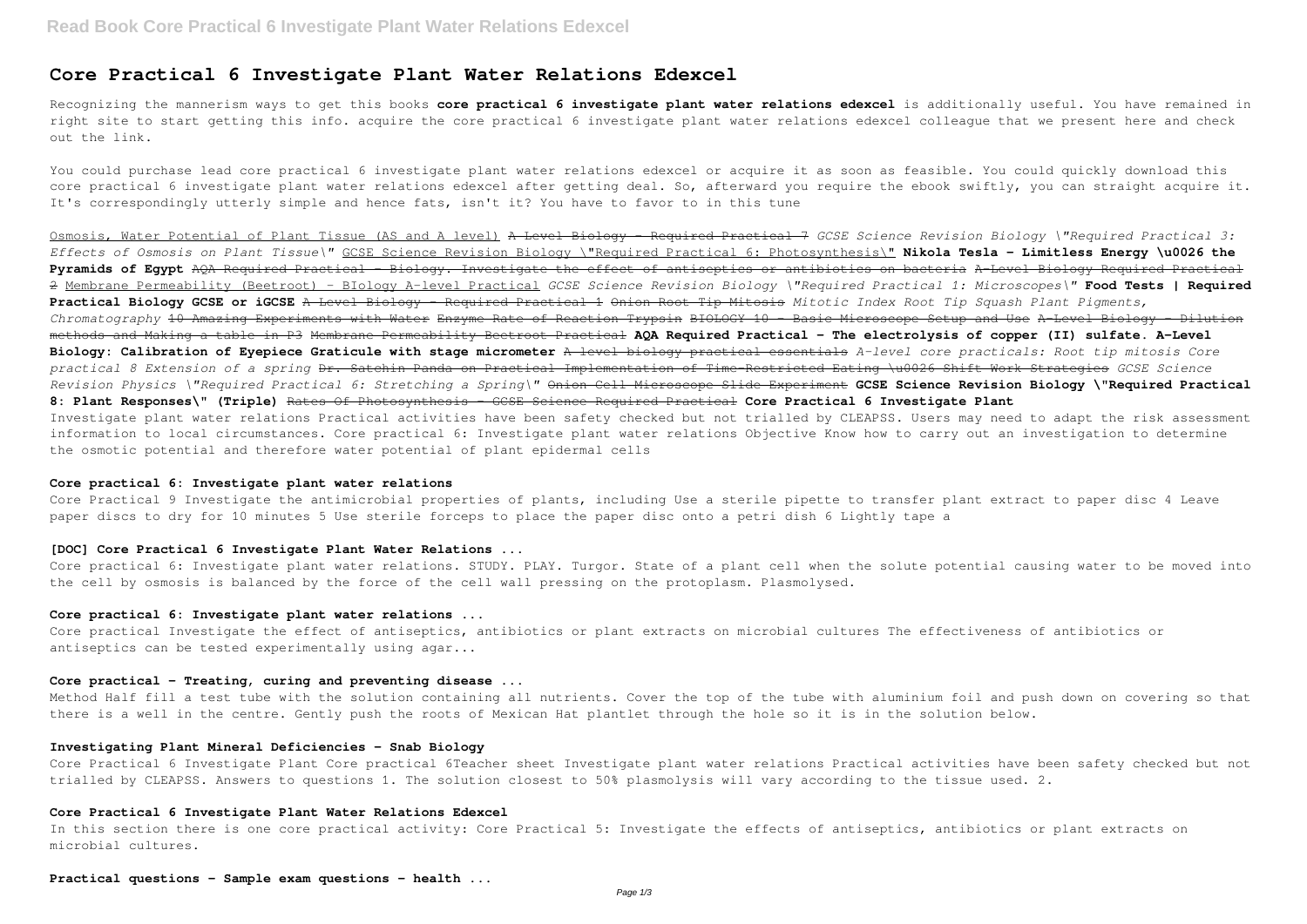# **Core Practical 6 Investigate Plant Water Relations Edexcel**

Recognizing the mannerism ways to get this books **core practical 6 investigate plant water relations edexcel** is additionally useful. You have remained in right site to start getting this info. acquire the core practical 6 investigate plant water relations edexcel colleague that we present here and check out the link.

You could purchase lead core practical 6 investigate plant water relations edexcel or acquire it as soon as feasible. You could quickly download this core practical 6 investigate plant water relations edexcel after getting deal. So, afterward you require the ebook swiftly, you can straight acquire it. It's correspondingly utterly simple and hence fats, isn't it? You have to favor to in this tune

Osmosis, Water Potential of Plant Tissue (AS and A level) A Level Biology - Required Practical 7 *GCSE Science Revision Biology \"Required Practical 3: Effects of Osmosis on Plant Tissue\"* GCSE Science Revision Biology \"Required Practical 6: Photosynthesis\" **Nikola Tesla - Limitless Energy \u0026 the Pyramids of Egypt** AQA Required Practical - Biology. Investigate the effect of antiseptics or antibiotics on bacteria A-Level Biology Required Practical 2 Membrane Permeability (Beetroot) - BIology A-level Practical *GCSE Science Revision Biology \"Required Practical 1: Microscopes\"* **Food Tests | Required Practical Biology GCSE or iGCSE** A Level Biology - Required Practical 1 Onion Root Tip Mitosis *Mitotic Index Root Tip Squash Plant Pigments, Chromatography* 10 Amazing Experiments with Water Enzyme Rate of Reaction Trypsin BIOLOGY 10 - Basic Microscope Setup and Use A-Level Biology - Dilution methods and Making a table in P3 Membrane Permeability Beetroot Practical **AQA Required Practical - The electrolysis of copper (II) sulfate. A-Level Biology: Calibration of Eyepiece Graticule with stage micrometer** A level biology practical essentials *A-level core practicals: Root tip mitosis Core practical 8 Extension of a spring* Dr. Satchin Panda on Practical Implementation of Time-Restricted Eating \u0026 Shift Work Strategies *GCSE Science Revision Physics \"Required Practical 6: Stretching a Spring\"* Onion Cell Microscope Slide Experiment **GCSE Science Revision Biology \"Required Practical 8: Plant Responses\" (Triple)** Rates Of Photosynthesis - GCSE Science Required Practical **Core Practical 6 Investigate Plant** Investigate plant water relations Practical activities have been safety checked but not trialled by CLEAPSS. Users may need to adapt the risk assessment information to local circumstances. Core practical 6: Investigate plant water relations Objective Know how to carry out an investigation to determine the osmotic potential and therefore water potential of plant epidermal cells

#### **Core practical 6: Investigate plant water relations**

Core Practical 9 Investigate the antimicrobial properties of plants, including Use a sterile pipette to transfer plant extract to paper disc 4 Leave paper discs to dry for 10 minutes 5 Use sterile forceps to place the paper disc onto a petri dish 6 Lightly tape a

# **[DOC] Core Practical 6 Investigate Plant Water Relations ...**

Core practical 6: Investigate plant water relations. STUDY. PLAY. Turgor. State of a plant cell when the solute potential causing water to be moved into the cell by osmosis is balanced by the force of the cell wall pressing on the protoplasm. Plasmolysed.

## **Core practical 6: Investigate plant water relations ...**

Core practical Investigate the effect of antiseptics, antibiotics or plant extracts on microbial cultures The effectiveness of antibiotics or antiseptics can be tested experimentally using agar...

## **Core practical - Treating, curing and preventing disease ...**

Method Half fill a test tube with the solution containing all nutrients. Cover the top of the tube with aluminium foil and push down on covering so that there is a well in the centre. Gently push the roots of Mexican Hat plantlet through the hole so it is in the solution below.

#### **Investigating Plant Mineral Deficiencies - Snab Biology**

Core Practical 6 Investigate Plant Core practical 6Teacher sheet Investigate plant water relations Practical activities have been safety checked but not trialled by CLEAPSS. Answers to questions 1. The solution closest to 50% plasmolysis will vary according to the tissue used. 2.

#### **Core Practical 6 Investigate Plant Water Relations Edexcel**

In this section there is one core practical activity: Core Practical 5: Investigate the effects of antiseptics, antibiotics or plant extracts on microbial cultures.

**Practical questions - Sample exam questions - health ...**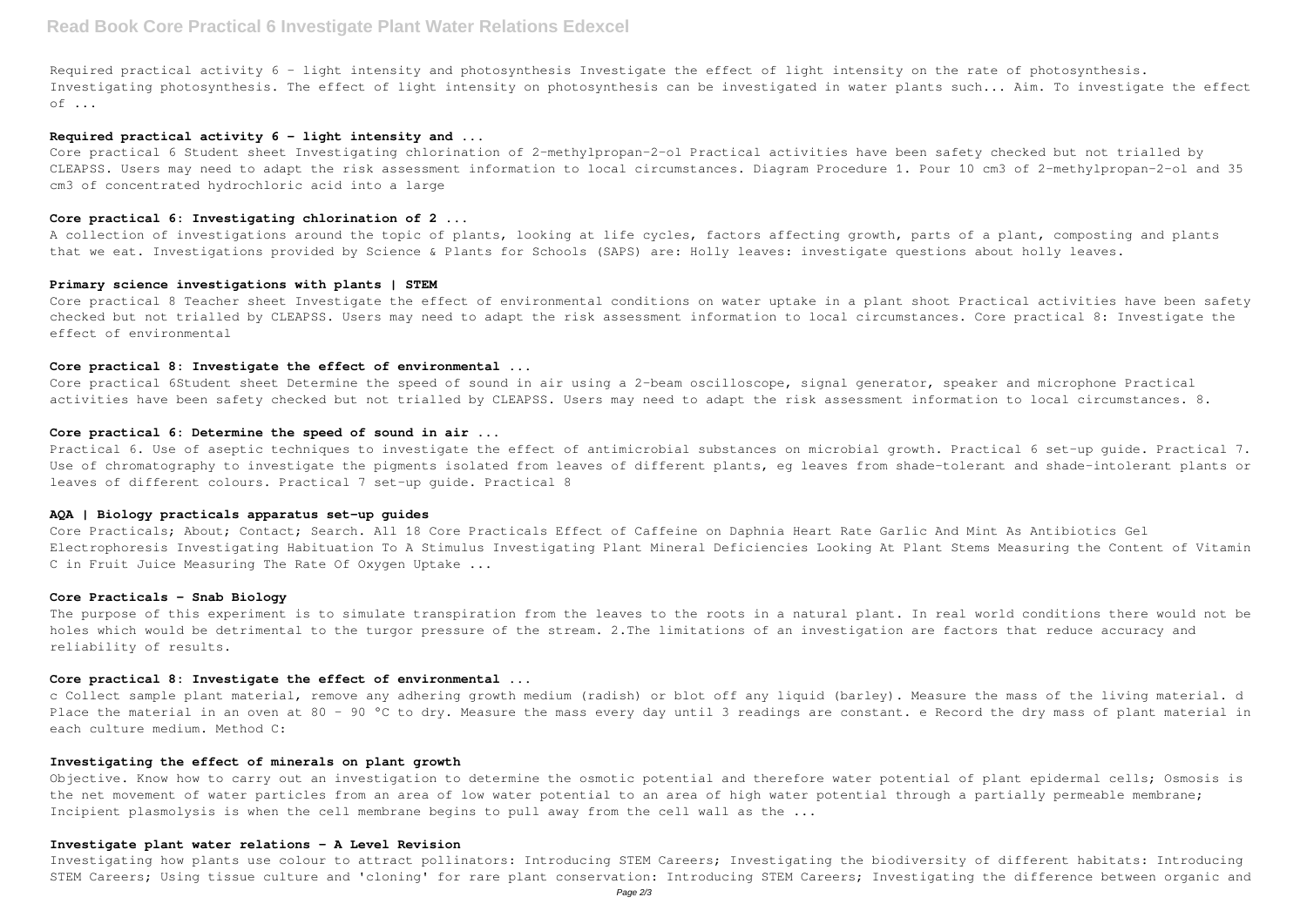Required practical activity 6 - light intensity and photosynthesis Investigate the effect of light intensity on the rate of photosynthesis. Investigating photosynthesis. The effect of light intensity on photosynthesis can be investigated in water plants such... Aim. To investigate the effect of ...

#### **Required practical activity 6 - light intensity and ...**

A collection of investigations around the topic of plants, looking at life cycles, factors affecting growth, parts of a plant, composting and plants that we eat. Investigations provided by Science & Plants for Schools (SAPS) are: Holly leaves: investigate questions about holly leaves.

Core practical 6 Student sheet Investigating chlorination of 2-methylpropan-2-ol Practical activities have been safety checked but not trialled by CLEAPSS. Users may need to adapt the risk assessment information to local circumstances. Diagram Procedure 1. Pour 10 cm3 of 2-methylpropan-2-ol and 35 cm3 of concentrated hydrochloric acid into a large

#### **Core practical 6: Investigating chlorination of 2 ...**

Core practical 6Student sheet Determine the speed of sound in air using a 2-beam oscilloscope, signal generator, speaker and microphone Practical activities have been safety checked but not trialled by CLEAPSS. Users may need to adapt the risk assessment information to local circumstances. 8.

Practical 6. Use of aseptic techniques to investigate the effect of antimicrobial substances on microbial growth. Practical 6 set-up quide. Practical 7. Use of chromatography to investigate the pigments isolated from leaves of different plants, eg leaves from shade-tolerant and shade-intolerant plants or leaves of different colours. Practical 7 set-up guide. Practical 8

## **Primary science investigations with plants | STEM**

Core practical 8 Teacher sheet Investigate the effect of environmental conditions on water uptake in a plant shoot Practical activities have been safety checked but not trialled by CLEAPSS. Users may need to adapt the risk assessment information to local circumstances. Core practical 8: Investigate the effect of environmental

### **Core practical 8: Investigate the effect of environmental ...**

Objective. Know how to carry out an investigation to determine the osmotic potential and therefore water potential of plant epidermal cells; Osmosis is the net movement of water particles from an area of low water potential to an area of high water potential through a partially permeable membrane; Incipient plasmolysis is when the cell membrane begins to pull away from the cell wall as the ...

## **Core practical 6: Determine the speed of sound in air ...**

#### **AQA | Biology practicals apparatus set-up guides**

Core Practicals; About; Contact; Search. All 18 Core Practicals Effect of Caffeine on Daphnia Heart Rate Garlic And Mint As Antibiotics Gel Electrophoresis Investigating Habituation To A Stimulus Investigating Plant Mineral Deficiencies Looking At Plant Stems Measuring the Content of Vitamin C in Fruit Juice Measuring The Rate Of Oxygen Uptake ...

# **Core Practicals - Snab Biology**

The purpose of this experiment is to simulate transpiration from the leaves to the roots in a natural plant. In real world conditions there would not be holes which would be detrimental to the turgor pressure of the stream. 2.The limitations of an investigation are factors that reduce accuracy and reliability of results.

#### **Core practical 8: Investigate the effect of environmental ...**

c Collect sample plant material, remove any adhering growth medium (radish) or blot off any liquid (barley). Measure the mass of the living material. d Place the material in an oven at 80 - 90 °C to dry. Measure the mass every day until 3 readings are constant. e Record the dry mass of plant material in each culture medium. Method C:

## **Investigating the effect of minerals on plant growth**

#### **Investigate plant water relations - A Level Revision**

Investigating how plants use colour to attract pollinators: Introducing STEM Careers; Investigating the biodiversity of different habitats: Introducing STEM Careers; Using tissue culture and 'cloning' for rare plant conservation: Introducing STEM Careers; Investigating the difference between organic and